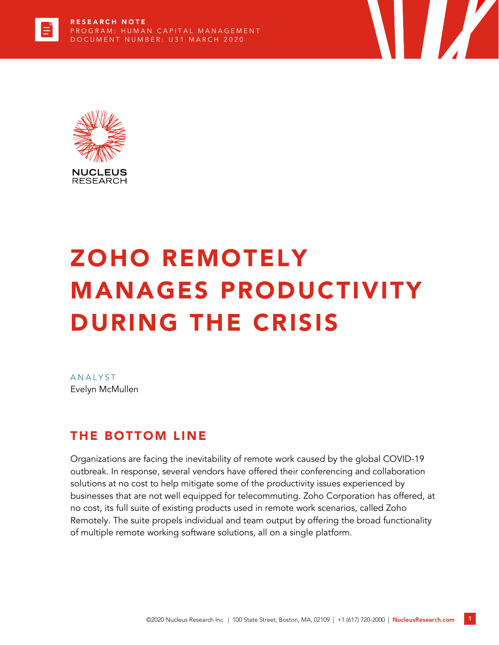

# ZOHO REMOTELY MANAGES PRODUCTIVITY DURING THE CRISIS

**The Second Second Second** 

**ANALYST** Evelyn McMullen

# THE BOTTOM LINE

Organizations are facing the inevitability of remote work caused by the global COVID-19 outbreak. In response, several vendors have offered their conferencing and collaboration solutions at no cost to help mitigate some of the productivity issues experienced by businesses that are not well equipped for telecommuting. Zoho Corporation has offered, at no cost, its full suite of existing products used in remote work scenarios, called Zoho Remotely. The suite propels individual and team output by offering the broad functionality of multiple remote working software solutions, all on a single platform.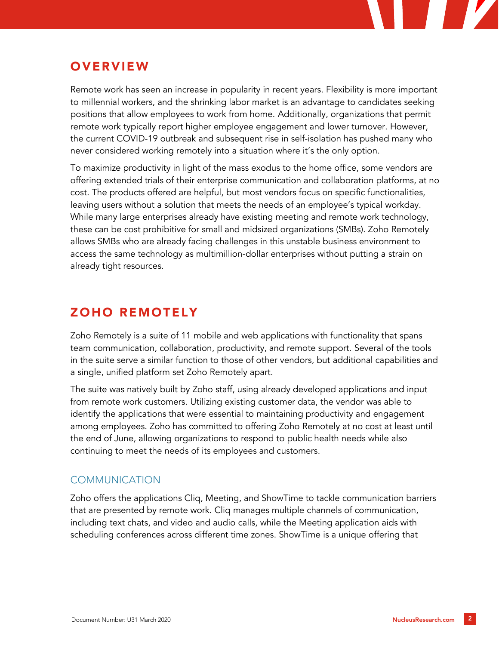# **OVERVIEW**

Remote work has seen an increase in popularity in recent years. Flexibility is more important to millennial workers, and the shrinking labor market is an advantage to candidates seeking positions that allow employees to work from home. Additionally, organizations that permit remote work typically report higher employee engagement and lower turnover. However, the current COVID-19 outbreak and subsequent rise in self-isolation has pushed many who never considered working remotely into a situation where it's the only option.

To maximize productivity in light of the mass exodus to the home office, some vendors are offering extended trials of their enterprise communication and collaboration platforms, at no cost. The products offered are helpful, but most vendors focus on specific functionalities, leaving users without a solution that meets the needs of an employee's typical workday. While many large enterprises already have existing meeting and remote work technology, these can be cost prohibitive for small and midsized organizations (SMBs). Zoho Remotely allows SMBs who are already facing challenges in this unstable business environment to access the same technology as multimillion-dollar enterprises without putting a strain on already tight resources.

# ZOHO REMOTELY

Zoho Remotely is a suite of 11 mobile and web applications with functionality that spans team communication, collaboration, productivity, and remote support. Several of the tools in the suite serve a similar function to those of other vendors, but additional capabilities and a single, unified platform set Zoho Remotely apart.

The suite was natively built by Zoho staff, using already developed applications and input from remote work customers. Utilizing existing customer data, the vendor was able to identify the applications that were essential to maintaining productivity and engagement among employees. Zoho has committed to offering Zoho Remotely at no cost at least until the end of June, allowing organizations to respond to public health needs while also continuing to meet the needs of its employees and customers.

### **COMMUNICATION**

Zoho offers the applications Cliq, Meeting, and ShowTime to tackle communication barriers that are presented by remote work. Cliq manages multiple channels of communication, including text chats, and video and audio calls, while the Meeting application aids with scheduling conferences across different time zones. ShowTime is a unique offering that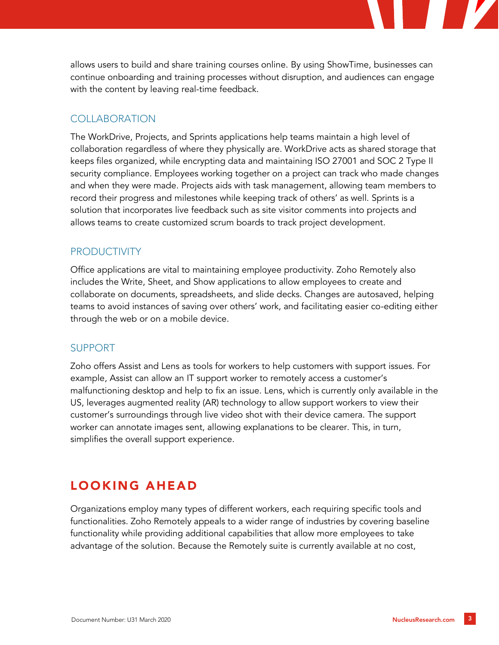allows users to build and share training courses online. By using ShowTime, businesses can continue onboarding and training processes without disruption, and audiences can engage with the content by leaving real-time feedback.

#### **COLLABORATION**

The WorkDrive, Projects, and Sprints applications help teams maintain a high level of collaboration regardless of where they physically are. WorkDrive acts as shared storage that keeps files organized, while encrypting data and maintaining ISO 27001 and SOC 2 Type II security compliance. Employees working together on a project can track who made changes and when they were made. Projects aids with task management, allowing team members to record their progress and milestones while keeping track of others' as well. Sprints is a solution that incorporates live feedback such as site visitor comments into projects and allows teams to create customized scrum boards to track project development.

#### **PRODUCTIVITY**

Office applications are vital to maintaining employee productivity. Zoho Remotely also includes the Write, Sheet, and Show applications to allow employees to create and collaborate on documents, spreadsheets, and slide decks. Changes are autosaved, helping teams to avoid instances of saving over others' work, and facilitating easier co-editing either through the web or on a mobile device.

#### SUPPORT

Zoho offers Assist and Lens as tools for workers to help customers with support issues. For example, Assist can allow an IT support worker to remotely access a customer's malfunctioning desktop and help to fix an issue. Lens, which is currently only available in the US, leverages augmented reality (AR) technology to allow support workers to view their customer's surroundings through live video shot with their device camera. The support worker can annotate images sent, allowing explanations to be clearer. This, in turn, simplifies the overall support experience.

# LOOKING AHEAD

Organizations employ many types of different workers, each requiring specific tools and functionalities. Zoho Remotely appeals to a wider range of industries by covering baseline functionality while providing additional capabilities that allow more employees to take advantage of the solution. Because the Remotely suite is currently available at no cost,